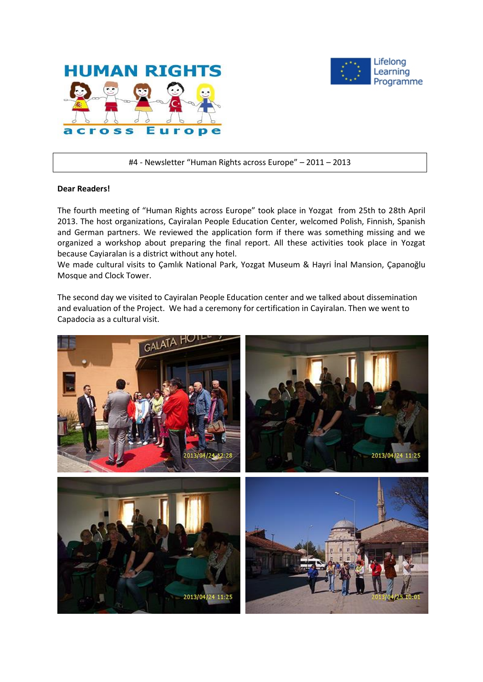



#4 - Newsletter "Human Rights across Europe" – 2011 – 2013

#### **Dear Readers!**

The fourth meeting of "Human Rights across Europe" took place in Yozgat from 25th to 28th April 2013. The host organizations, Cayiralan People Education Center, welcomed Polish, Finnish, Spanish and German partners. We reviewed the application form if there was something missing and we organized a workshop about preparing the final report. All these activities took place in Yozgat because Cayiaralan is a district without any hotel.

We made cultural visits to Çamlık National Park, Yozgat Museum & Hayri İnal Mansion, Çapanoğlu Mosque and Clock Tower.

The second day we visited to Cayiralan People Education center and we talked about dissemination and evaluation of the Project. We had a ceremony for certification in Cayiralan. Then we went to Capadocia as a cultural visit.

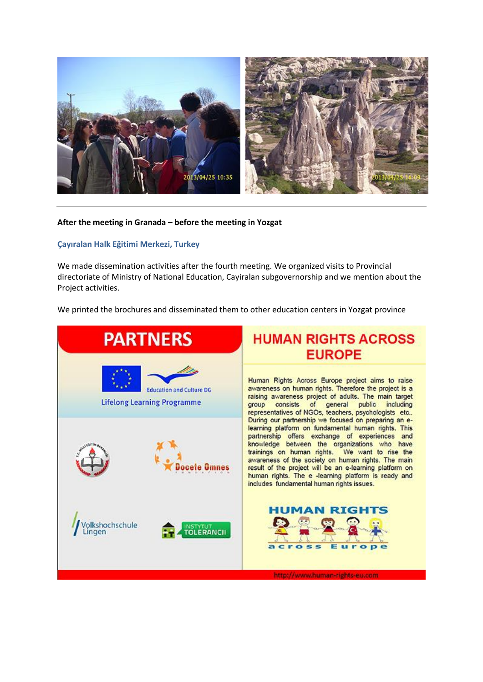

# **After the meeting in Granada – before the meeting in Yozgat**

# **Çayıralan Halk Eğitimi Merkezi, Turkey**

We made dissemination activities after the fourth meeting. We organized visits to Provincial directoriate of Ministry of National Education, Cayiralan subgovernorship and we mention about the Project activities.

We printed the brochures and disseminated them to other education centers in Yozgat province

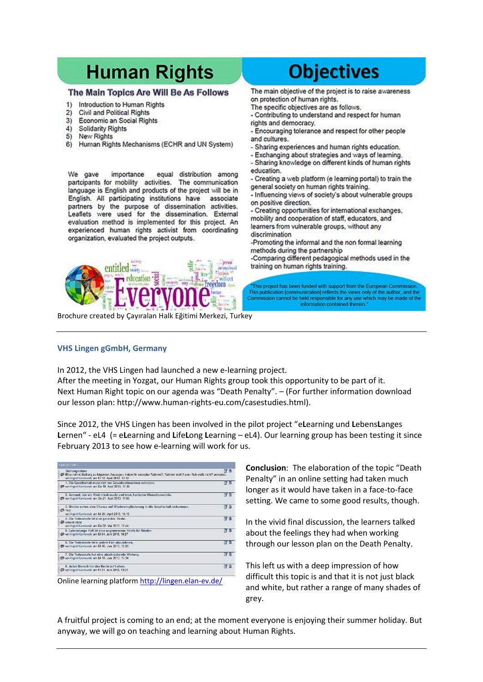# **Human Rights**

## The Main Topics Are Will Be As Follows

- Introduction to Human Rights 1)
- Civil and Political Rights  $\mathfrak{D}$
- $3)$ Economic an Social Rights
- Solidarity Rights  $4)$
- $5)$ New Rights
- $6)$ Human Rights Mechanisms (ECHR and UN System)

We gave importance equal distribution among partcipants for mobility activities. The communication language is English and products of the project will be in English. All participating institutions have associate partners by the purpose of dissemination activities. Leaflets were used for the dissemination. External evaluation method is implemented for this project. An experienced human rights activist from coordinating organization, evaluated the project outputs.



# **Objectives**

The main objective of the project is to raise awareness on protection of human rights.

- The specific objectives are as follows.
- Contributing to understand and respect for human rights and democracy.
- Encouraging tolerance and respect for other people and cultures.
- Sharing experiences and human rights education.
- Exchanging about strategies and ways of learning.
- Sharing knowledge on different kinds of human rights education.
- Creating a web platform (e learning portal) to train the general society on human rights training.
- Influencing views of society's about vulnerable groups on positive direction.

- Creating opportunities for international exchanges, mobility and cooperation of staff, educators, and learners from vulnerable groups, without any discrimination

-Promoting the informal and the non formal learning methods during the partnership

-Comparing different pedagogical methods used in the training on human rights training.

This project has been funded with support from the European Commission This publication [communication] reflects the views only of the author, and the<br>Commission cannot be held responsible for any use which may be made of the information contained therein."

Brochure created by Çayıralan Halk Eğitimi Merkezi, Turkey

#### **VHS Lingen gGmbH, Germany**

In 2012, the VHS Lingen had launched a new e-learning project.

After the meeting in Yozgat, our Human Rights group took this opportunity to be part of it. Next Human Right topic on our agenda was "Death Penalty". – (For further information download our lesson plan: http://www.human-rights-eu.com/casestudies.html).

Since 2012, the VHS Lingen has been involved in the pilot project "e**L**earning und **L**ebens**L**anges **L**ernen" - eL4 (= e**L**earning and **L**ife**L**ong **L**earning – eL4). Our learning group has been testing it since February 2013 to see how e-learning will work for us.

| <b>TODESSTRAFE</b>                                                                                                                                                                            |     |
|-----------------------------------------------------------------------------------------------------------------------------------------------------------------------------------------------|-----|
| Stellungnahme<br>Bitte nehmt Stellung zu folgenden Aussagen, indem Ihr entweder ?stimmt?, ?stimmt nicht? oder ?ich weiß nicht? antwortet.<br>von Ingrid Kawlowski am Fr 12. April 2013, 13:12 | 図 亩 |
| 1. Die Gesellschaft muss sich vor Gewaltverbrechern schützen.<br>Won Ingrid Kawlowski am Do 18, April 2013, 17:36                                                                             | 2日  |
| 2. Jemand, der ein Kind missbraucht und tötet, hat keine Menschenwürde.<br>won Ingrid Kawlowski am So 21. April 2013, 11:00                                                                   | ■ ■ |
| 3. Mörder sollen eine Chance auf Wiedereingliederung in die Gesellschaft bekommen.<br><b>I</b> Test<br>von Inorid Kawlowski am Mi 24, April 2013, 15:15                                       | ß∂  |
| 4. Die Todesstrafe ist eine gerechte Strafe.<br>S stimmt nicht<br>von Ingrid Kawlowski am Do 02, Mai 2013, 17:44                                                                              | ぼき  |
| 5. Lebenslange Haft ist eine angemessene Strafe für Mörder.<br>won Ingrid Kawlowski am Di 04, Juni 2013, 18:57                                                                                | 図面  |
| 6. Die Todesstrafe ist in jedem Fall abzulehnen.<br>won Ingrid Kawlowski am Mi 05, Juni 2013, 15:24                                                                                           | 图面  |
| 7. Die Todesstrafe hat eine abschreckende Wirkung.<br>Won Ingrid Kawlowski am Mi 19, Juni 2013, 15:34                                                                                         | ぼ 亩 |
| 8. Jeder Mensch hat das Recht auf Leben.<br>Von Ingrid Kawlowski am Fr 21, Juni 2013, 13:01                                                                                                   | マロ  |

Online learning platform<http://lingen.elan-ev.de/>

**Conclusion**: The elaboration of the topic "Death Penalty" in an online setting had taken much longer as it would have taken in a face-to-face setting. We came to some good results, though.

In the vivid final discussion, the learners talked about the feelings they had when working through our lesson plan on the Death Penalty.

This left us with a deep impression of how difficult this topic is and that it is not just black and white, but rather a range of many shades of grey.

A fruitful project is coming to an end; at the moment everyone is enjoying their summer holiday. But anyway, we will go on teaching and learning about Human Rights.